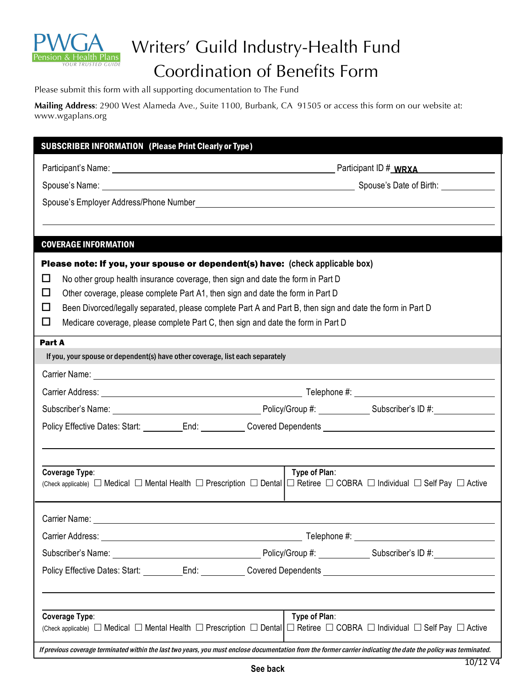

## Writers' Guild Industry-Health Fund Coordination of Benefits Form

Please submit this form with all supporting documentation to The Fund

**Mailing Address**: 2900 West Alameda Ave., Suite 1100, Burbank, CA 91505 or access this form on our website at: www.wgaplans.org

| <b>SUBSCRIBER INFORMATION (Please Print Clearly or Type)</b>                                                                                                                                                                       |               |  |
|------------------------------------------------------------------------------------------------------------------------------------------------------------------------------------------------------------------------------------|---------------|--|
| Participant's Name: Name: Name and Allen Contract of Contract of Contract of Contract of Contract of Contract of Contract of Contract of Contract of Contract of Contract of Contract of Contract of Contract of Contract of C     |               |  |
|                                                                                                                                                                                                                                    |               |  |
|                                                                                                                                                                                                                                    |               |  |
|                                                                                                                                                                                                                                    |               |  |
|                                                                                                                                                                                                                                    |               |  |
| <b>COVERAGE INFORMATION</b>                                                                                                                                                                                                        |               |  |
| Please note: If you, your spouse or dependent(s) have: (check applicable box)                                                                                                                                                      |               |  |
| No other group health insurance coverage, then sign and date the form in Part D<br>$\Box$                                                                                                                                          |               |  |
| $\Box$<br>Other coverage, please complete Part A1, then sign and date the form in Part D                                                                                                                                           |               |  |
| □<br>Been Divorced/legally separated, please complete Part A and Part B, then sign and date the form in Part D                                                                                                                     |               |  |
| Medicare coverage, please complete Part C, then sign and date the form in Part D<br>$\Box$                                                                                                                                         |               |  |
| Part A                                                                                                                                                                                                                             |               |  |
| If you, your spouse or dependent(s) have other coverage, list each separately                                                                                                                                                      |               |  |
|                                                                                                                                                                                                                                    |               |  |
|                                                                                                                                                                                                                                    |               |  |
| Subscriber's Name: Mame: Manner Communication Control of Policy/Group #: Manner Control of Account Control of A                                                                                                                    |               |  |
| Policy Effective Dates: Start: __________End: ___________Covered Dependents __________________________________                                                                                                                     |               |  |
|                                                                                                                                                                                                                                    |               |  |
|                                                                                                                                                                                                                                    |               |  |
| Type of Plan:<br>Coverage Type:                                                                                                                                                                                                    |               |  |
|                                                                                                                                                                                                                                    |               |  |
| Carrier Name:                                                                                                                                                                                                                      |               |  |
|                                                                                                                                                                                                                                    |               |  |
| Subscriber's Name: <u>Contract Communication</u> Policy/Group #: Contract Contract Contract Contract Contract Contract Contract Contract Contract Contract Contract Contract Contract Contract Contract Contract Contract Contract |               |  |
|                                                                                                                                                                                                                                    |               |  |
|                                                                                                                                                                                                                                    |               |  |
|                                                                                                                                                                                                                                    |               |  |
| Coverage Type:                                                                                                                                                                                                                     | Type of Plan: |  |
| (Check applicable) $\Box$ Medical $\Box$ Mental Health $\Box$ Prescription $\Box$ Dental $\Box$ Retiree $\Box$ COBRA $\Box$ Individual $\Box$ Self Pay $\Box$ Active                                                               |               |  |
| If previous coverage terminated within the last two years, you must enclose documentation from the former carrier indicating the date the policy was terminated.                                                                   |               |  |